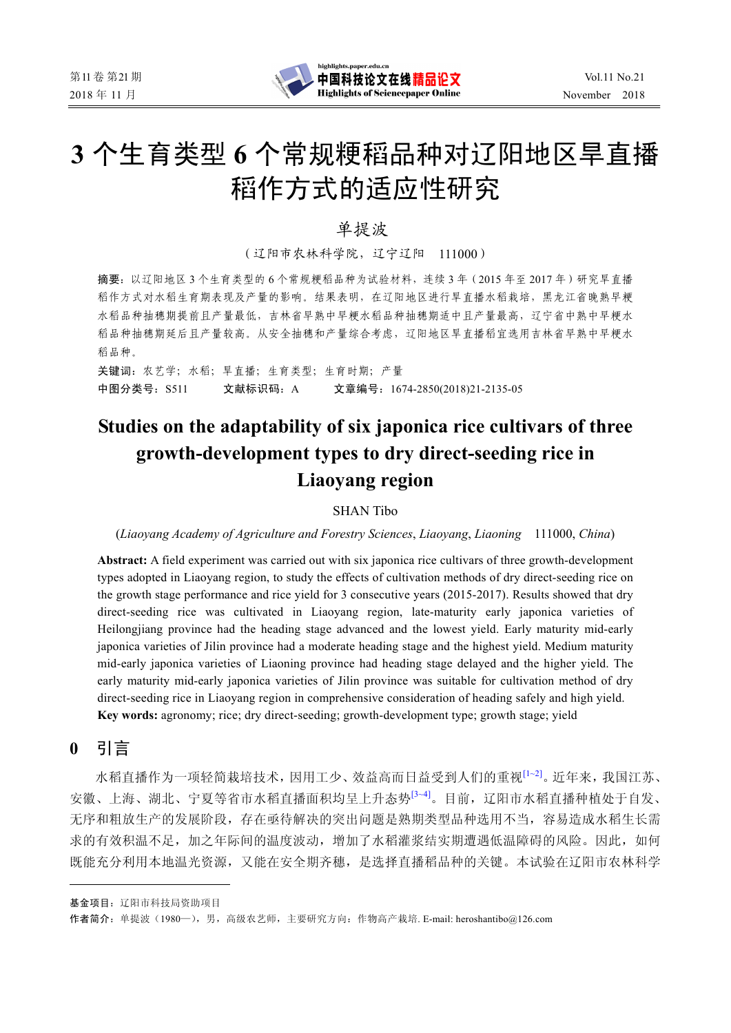

# **3** 个生育类型 **6** 个常规粳稻品种对辽阳地区旱直播 稻作方式的适应性研究

单提波\*

(辽阳市农林科学院,辽宁辽阳 111000)

摘要:以辽阳地区 3 个生育类型的 6 个常规粳稻品种为试验材料,连续 3 年 (2015 年至 2017 年) 研究旱直播 稻作方式对水稻生育期表现及产量的影响。结果表明,在辽阳地区进行旱直播水稻栽培,黑龙江省晚熟早粳 水稻品种抽穗期提前且产量最低,吉林省早熟中早粳水稻品种抽穗期适中且产量最高,辽宁省中熟中早粳水 稻品种抽穗期延后且产量较高。从安全抽穗和产量综合考虑,辽阳地区旱直播稻宜选用吉林省早熟中早粳水 稻品种。

关键词:农艺学;水稻;旱直播;生育类型;生育时期;产量 中图分类号:S511 文献标识码:A 文章编号:1674-2850(2018)21-2135-05

## **Studies on the adaptability of six japonica rice cultivars of three growth-development types to dry direct-seeding rice in Liaoyang region**

### SHAN Tibo

(*Liaoyang Academy of Agriculture and Forestry Sciences*, *Liaoyang*, *Liaoning* 111000, *China*)

**Abstract:** A field experiment was carried out with six japonica rice cultivars of three growth-development types adopted in Liaoyang region, to study the effects of cultivation methods of dry direct-seeding rice on the growth stage performance and rice yield for 3 consecutive years (2015-2017). Results showed that dry direct-seeding rice was cultivated in Liaoyang region, late-maturity early japonica varieties of Heilongjiang province had the heading stage advanced and the lowest yield. Early maturity mid-early japonica varieties of Jilin province had a moderate heading stage and the highest yield. Medium maturity mid-early japonica varieties of Liaoning province had heading stage delayed and the higher yield. The early maturity mid-early japonica varieties of Jilin province was suitable for cultivation method of dry direct-seeding rice in Liaoyang region in comprehensive consideration of heading safely and high yield. **Key words:** agronomy; rice; dry direct-seeding; growth-development type; growth stage; yield

**0** 引言

水稻直播作为一项轻简栽培技术,因用工少、效益高而日益受到人们的重视<sup>[1~2]</sup>。近年来,我国江苏、 安徽、上海、湖北、宁夏等省市水稻直播面积均呈上升态势<sup>[3~4]</sup>。目前,辽阳市水稻直播种植处于自发、 无序和粗放生产的发展阶段,存在亟待解决的突出问题是熟期类型品种选用不当,容易造成水稻生长需 求的有效积温不足,加之年际间的温度波动,增加了水稻灌浆结实期遭遇低温障碍的风险。因此,如何 既能充分利用本地温光资源,又能在安全期齐穗,是选择直播稻品种的关键。本试验在辽阳市农林科学

基金项目:辽阳市科技局资助项目

作者简介:单提波(1980—),男,高级农艺师,主要研究方向:作物高产栽培. E-mail: heroshantibo@126.com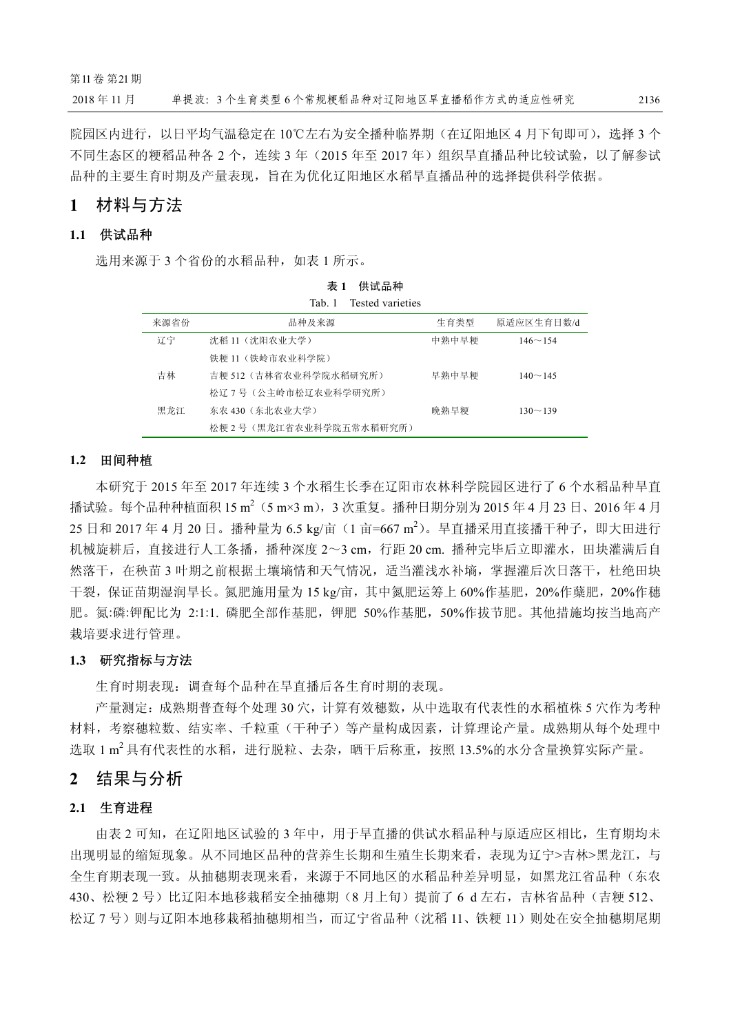院园区内进行,以日平均气温稳定在 10℃左右为安全播种临界期(在辽阳地区 4 月下旬即可), 选择 3 个 不同生态区的粳稻品种各 2 个,连续 3 年(2015 年至 2017 年)组织旱直播品种比较试验,以了解参试 品种的主要生育时期及产量表现,旨在为优化辽阳地区水稻旱直播品种的选择提供科学依据。

## **1** 材料与方法

## **1.1** 供试品种

选用来源于 3 个省份的水稻品种, 如表 1 所示。

|      | Tested varieties<br>Tab. 1 |       |                |
|------|----------------------------|-------|----------------|
| 来源省份 | 品种及来源                      | 生育类型  | 原适应区生育日数/d     |
| 辽宁   | 沈稻 11(沈阳农业大学)              | 中熟中早粳 | $146 \sim 154$ |
|      | 铁粳 11 (铁岭市农业科学院)           |       |                |
| 吉林   | 吉粳 512 (吉林省农业科学院水稻研究所)     | 早熟中早粳 | $140 \sim 145$ |
|      | 松辽7号(公主岭市松辽农业科学研究所)        |       |                |
| 黑龙江  | 东农 430(东北农业大学)             | 晚熟早粳  | $130 - 139$    |
|      | 松粳 2 号 (黑龙江省农业科学院五常水稻研究所)  |       |                |

表 **1** 供试品种

#### **1.2** 田间种植

本研究于 2015 年至 2017 年连续 3 个水稻生长季在辽阳市农林科学院园区进行了 6 个水稻品种旱直 播试验。每个品种种植面积 15 m<sup>2</sup> (5 m×3 m),3 次重复。播种日期分别为 2015 年 4 月 23 日、2016 年 4 月 25 日和 2017 年 4 月 20 日。播种量为 6.5 kg/亩(1 亩=667 m<sup>2</sup>)。旱直播采用直接播干种子,即大田进行 机械旋耕后,直接进行人工条播,播种深度 2~3 cm,行距 20 cm. 播种完毕后立即灌水,田块灌满后自 然落干,在秧苗 3 叶期之前根据土壤墒情和天气情况,适当灌浅水补墒,掌握灌后次日落干,杜绝田块 干裂,保证苗期湿润旱长。氮肥施用量为 15 kg/亩, 其中氮肥运筹上 60%作基肥, 20%作蘖肥, 20%作穗 肥。氮:磷:钾配比为 2:1:1 磷肥全部作基肥,钾肥 50%作基肥, 50%作拔节肥。其他措施均按当地高产 栽培要求进行管理。

#### **1.3** 研究指标与方法

生育时期表现:调查每个品种在旱直播后各生育时期的表现。

产量测定:成熟期普查每个处理 30 穴,计算有效穗数,从中选取有代表性的水稻植株 5 穴作为考种 材料,考察穗粒数、结实率、千粒重(干种子)等产量构成因素,计算理论产量。成熟期从每个处理中 选取 1 m<sup>2</sup> 具有代表性的水稻,进行脱粒、去杂,晒干后称重,按照 13.5%的水分含量换算实际产量。

## **2** 结果与分析

#### **2.1** 生育进程

由表 2 可知, 在辽阳地区试验的 3 年中, 用于旱直播的供试水稻品种与原适应区相比, 生育期均未 出现明显的缩短现象。从不同地区品种的营养生长期和生殖生长期来看,表现为辽宁>吉林>黑龙江,与 全生育期表现一致。从抽穗期表现来看,来源于不同地区的水稻品种差异明显,如黑龙江省品种(东农 430、松粳 2 号)比辽阳本地移栽稻安全抽穗期(8 月上旬)提前了 6 d 左右,吉林省品种(吉粳 512、 松辽 7 号)则与辽阳本地移栽稻抽穗期相当,而辽宁省品种(沈稻 11、铁粳 11)则处在安全抽穗期尾期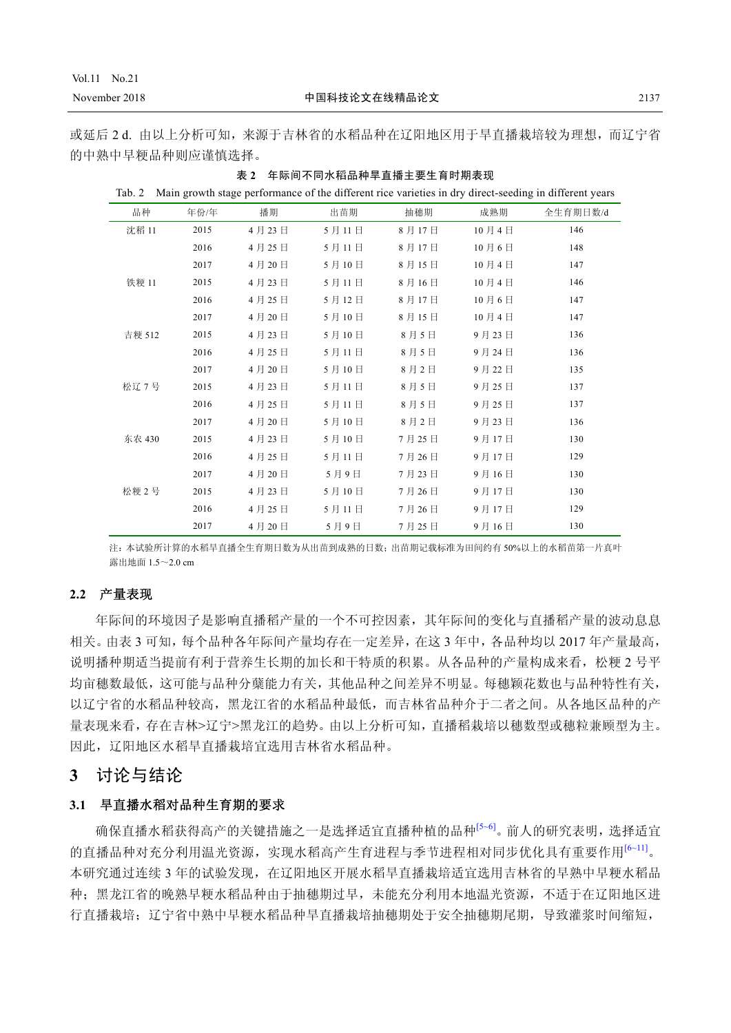## Vol.11 No.21

或延后 2 d. 由以上分析可知,来源于吉林省的水稻品种在辽阳地区用于旱直播栽培较为理想,而辽宁省 的中熟中早粳品种则应谨慎选择。

| Tab. 2 |      |       |       |       |       | Main growth stage performance of the different rice varieties in dry direct-seeding in different years |
|--------|------|-------|-------|-------|-------|--------------------------------------------------------------------------------------------------------|
| 品种     | 年份/年 | 播期    | 出苗期   | 抽穗期   | 成熟期   | 全生育期日数/d                                                                                               |
| 沈稻 11  | 2015 | 4月23日 | 5月11日 | 8月17日 | 10月4日 | 146                                                                                                    |
|        | 2016 | 4月25日 | 5月11日 | 8月17日 | 10月6日 | 148                                                                                                    |
|        | 2017 | 4月20日 | 5月10日 | 8月15日 | 10月4日 | 147                                                                                                    |
| 铁粳 11  | 2015 | 4月23日 | 5月11日 | 8月16日 | 10月4日 | 146                                                                                                    |
|        | 2016 | 4月25日 | 5月12日 | 8月17日 | 10月6日 | 147                                                                                                    |
|        | 2017 | 4月20日 | 5月10日 | 8月15日 | 10月4日 | 147                                                                                                    |
| 吉粳 512 | 2015 | 4月23日 | 5月10日 | 8月5日  | 9月23日 | 136                                                                                                    |
|        | 2016 | 4月25日 | 5月11日 | 8月5日  | 9月24日 | 136                                                                                                    |
|        | 2017 | 4月20日 | 5月10日 | 8月2日  | 9月22日 | 135                                                                                                    |
| 松辽7号   | 2015 | 4月23日 | 5月11日 | 8月5日  | 9月25日 | 137                                                                                                    |
|        | 2016 | 4月25日 | 5月11日 | 8月5日  | 9月25日 | 137                                                                                                    |
|        | 2017 | 4月20日 | 5月10日 | 8月2日  | 9月23日 | 136                                                                                                    |
| 东农 430 | 2015 | 4月23日 | 5月10日 | 7月25日 | 9月17日 | 130                                                                                                    |
|        | 2016 | 4月25日 | 5月11日 | 7月26日 | 9月17日 | 129                                                                                                    |
|        | 2017 | 4月20日 | 5月9日  | 7月23日 | 9月16日 | 130                                                                                                    |
| 松粳2号   | 2015 | 4月23日 | 5月10日 | 7月26日 | 9月17日 | 130                                                                                                    |
|        | 2016 | 4月25日 | 5月11日 | 7月26日 | 9月17日 | 129                                                                                                    |
|        | 2017 | 4月20日 | 5月9日  | 7月25日 | 9月16日 | 130                                                                                                    |

表 **2** 年际间不同水稻品种旱直播主要生育时期表现

注:本试验所计算的水稻旱直播全生育期日数为从出苗到成熟的日数;出苗期记载标准为田间约有 50%以上的水稻苗第一片真叶 震虫地面  $1.5\sim 2.0$  cm

#### **2.2** 产量表现

年际间的环境因子是影响直播稻产量的一个不可控因素,其年际间的变化与直播稻产量的波动息息 相关。由表 3 可知,每个品种各年际间产量均存在一定差异,在这 3 年中,各品种均以 2017 年产量最高, 说明播种期适当提前有利于营养生长期的加长和干特质的积累。从各品种的产量构成来看,松粳 2 号平 均亩穗数最低,这可能与品种分蘖能力有关,其他品种之间差异不明显。每穗颖花数也与品种特性有关, 以辽宁省的水稻品种较高,黑龙江省的水稻品种最低,而吉林省品种介于二者之间。从各地区品种的产 量表现来看,存在吉林>辽宁>黑龙江的趋势。由以上分析可知,直播稻栽培以穗数型或穗粒兼顾型为主。 因此,辽阳地区水稻旱直播栽培宜选用吉林省水稻品种。

## **3** 讨论与结论

#### **3.1** 旱直播水稻对品种生育期的要求

确保直播水稻获得高产的关键措施之一是选择适宜直播种植的品种[5~6]。前人的研究表明,选择适宜 的直播品种对充分利用温光资源,实现水稻高产生育进程与季节进程相对同步优化具有重要作用<sup>[6~11]</sup>。 本研究通过连续 3 年的试验发现,在辽阳地区开展水稻旱直播栽培适宜选用吉林省的早熟中早粳水稻品 种;黑龙江省的晚熟早粳水稻品种由于抽穗期过早,未能充分利用本地温光资源,不适于在辽阳地区进 行直播栽培;辽宁省中熟中早粳水稻品种旱直播栽培抽穗期处于安全抽穗期尾期,导致灌浆时间缩短,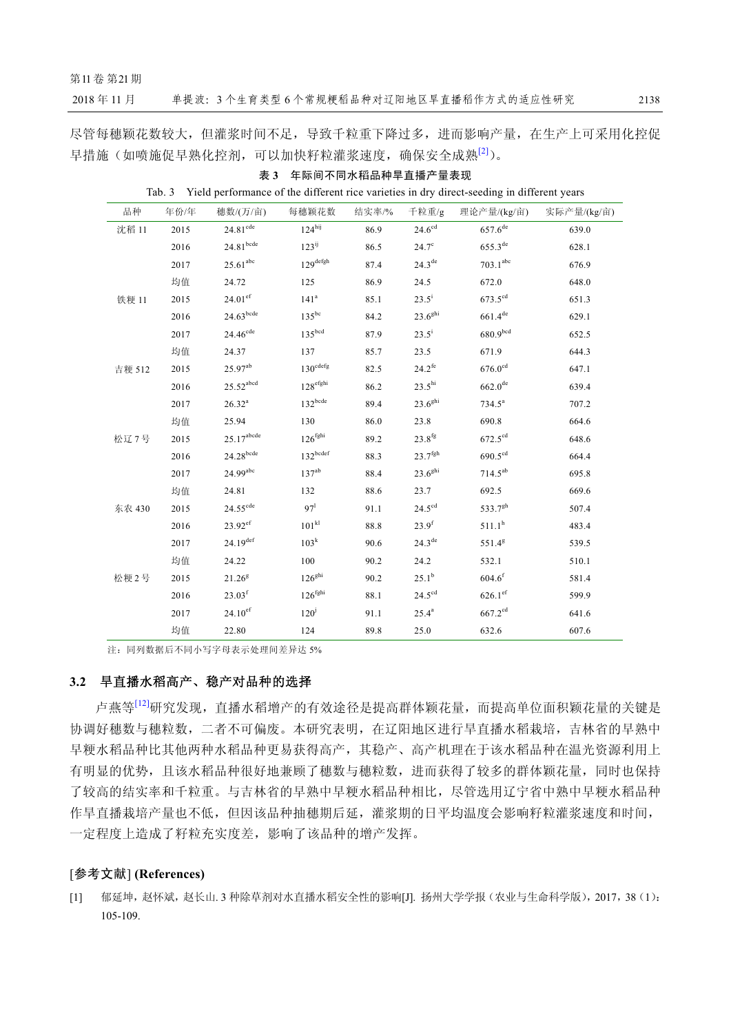第11卷第21期

2018年11月

尽管每穗颖花数较大,但灌浆时间不足,导致千粒重下降过多,进而影响产量,在生产上可采用化控促 早措施(如喷施促早熟化控剂,可以加快籽粒灌浆速度,确保安全成熟<sup>[2]</sup>)。

| 品种     | 年份/年 | 穗数/(万/亩)                | 每穗颖花数                | 结实率/% | 千粒重/g                 | 理论产量/(kg/亩)           | 实际产量/(kg/亩) |
|--------|------|-------------------------|----------------------|-------|-----------------------|-----------------------|-------------|
| 沈稻 11  | 2015 | 24.81 <sup>cde</sup>    | 124 <sup>hij</sup>   | 86.9  | $24.6^{\text{cd}}$    | $657.6^{de}$          | 639.0       |
|        | 2016 | 24.81 <sup>bcde</sup>   | $123^{ij}$           | 86.5  | $24.7^\circ$          | $655.3^{\text{de}}$   | 628.1       |
|        | 2017 | $25.61$ <sup>abc</sup>  | $129^{\text{defgh}}$ | 87.4  | $24.3^{\text{de}}$    | 703.1 <sup>abc</sup>  | 676.9       |
|        | 均值   | 24.72                   | 125                  | 86.9  | 24.5                  | 672.0                 | 648.0       |
| 铁粳 11  | 2015 | $24.01^{\rm ef}$        | 141 <sup>a</sup>     | 85.1  | $23.5^{\rm i}$        | $673.5^{cd}$          | 651.3       |
|        | 2016 | $24.63$ bcde            | $135^{bc}$           | 84.2  | $23.6^{9}$ hi         | $661.4^{de}$          | 629.1       |
|        | 2017 | 24.46 <sup>cde</sup>    | 135 <sup>bcd</sup>   | 87.9  | $23.5^{\rm i}$        | 680.9 <sup>bcd</sup>  | 652.5       |
|        | 均值   | 24.37                   | 137                  | 85.7  | 23.5                  | 671.9                 | 644.3       |
| 吉粳 512 | 2015 | 25.97ab                 | $130^{\text{cdefg}}$ | 82.5  | $24.2^{fe}$           | $676.0$ <sup>cd</sup> | 647.1       |
|        | 2016 | $25.52$ <sup>abcd</sup> | $128^{\rm efghi}$    | 86.2  | $23.5^{hi}$           | $662.0^{de}$          | 639.4       |
|        | 2017 | $26.32^a$               | $132^{\text{bcde}}$  | 89.4  | $23.6^{9}$ hi         | $734.5^a$             | 707.2       |
|        | 均值   | 25.94                   | 130                  | 86.0  | 23.8                  | 690.8                 | 664.6       |
| 松辽7号   | 2015 | $25.17^{\text{abcde}}$  | 126 <sup>fghi</sup>  | 89.2  | $23.8^{fg}$           | $672.5^{\text{cd}}$   | 648.6       |
|        | 2016 | $24.28$ bcde            | $132^{bcdef}$        | 88.3  | $23.7$ <sup>fgh</sup> | $690.5^{\text{cd}}$   | 664.4       |
|        | 2017 | $24.99$ <sup>abc</sup>  | 137 <sup>ab</sup>    | 88.4  | $23.6^{9}$ hi         | $714.5^{ab}$          | 695.8       |
|        | 均值   | 24.81                   | 132                  | 88.6  | 23.7                  | 692.5                 | 669.6       |
| 东农 430 | 2015 | $24.55^{\text{cde}}$    | 97 <sup>1</sup>      | 91.1  | $24.5^{\text{cd}}$    | 533.7 <sup>gh</sup>   | 507.4       |
|        | 2016 | $23.92$ <sup>ef</sup>   | 101 <sup>kl</sup>    | 88.8  | $23.9^{f}$            | $511.1^h$             | 483.4       |
|        | 2017 | $24.19^{def}$           | 103 <sup>k</sup>     | 90.6  | 24.3 <sup>de</sup>    | 551.4 <sup>g</sup>    | 539.5       |
|        | 均值   | 24.22                   | 100                  | 90.2  | 24.2                  | 532.1                 | 510.1       |
| 松粳2号   | 2015 | $21.26^{8}$             | 126 <sup>ghi</sup>   | 90.2  | $25.1^{b}$            | $604.6^{\rm f}$       | 581.4       |
|        | 2016 | $23.03^{\rm f}$         | 126 <sup>fghi</sup>  | 88.1  | $24.5^{\text{cd}}$    | $626.1$ ef            | 599.9       |
|        | 2017 | $24.10^{ef}$            | 120 <sup>j</sup>     | 91.1  | $25.4^{\rm a}$        | $667.2^{cd}$          | 641.6       |
|        | 均值   | 22.80                   | 124                  | 89.8  | 25.0                  | 632.6                 | 607.6       |

表 3 年际间不同水稻品种旱直播产量表现 Tab. 3 Yield performance of the different rice varieties in dry direct-seeding in different years

注: 同列数据后不同小写字母表示处理间差异达 5%

## 3.2 早直播水稻高产、稳产对品种的选择

卢燕等<sup>[12]</sup>研究发现, 直播水稻增产的有效途径是提高群体颖花量, 而提高单位面积颖花量的关键是 协调好穗数与穗粒数, 二者不可偏废。本研究表明, 在辽阳地区进行旱直播水稻栽培, 吉林省的早熟中 早粳水稻品种比其他两种水稻品种更易获得高产,其稳产、高产机理在于该水稻品种在温光资源利用上 有明显的优势,且该水稻品种很好地兼顾了穗数与穗粒数,进而获得了较多的群体颖花量,同时也保持 了较高的结实率和千粒重。与吉林省的早熟中早粳水稻品种相比,尽管选用辽宁省中熟中早粳水稻品种 作旱直播栽培产量也不低, 但因该品种抽穗期后延, 灌浆期的日平均温度会影响籽粒灌浆速度和时间, 一定程度上造成了籽粒充实度差,影响了该品种的增产发挥。

#### [参考文献] (References)

[1] 郁延坤, 赵怀斌, 赵长山. 3 种除草剂对水直播水稻安全性的影响[J]. 扬州大学学报(农业与生命科学版), 2017, 38 (1): 105-109.